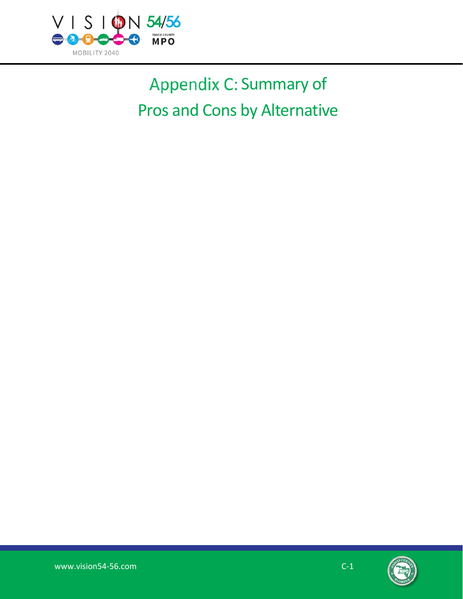

# Appendix C: Summary of Pros and Cons by Alternative

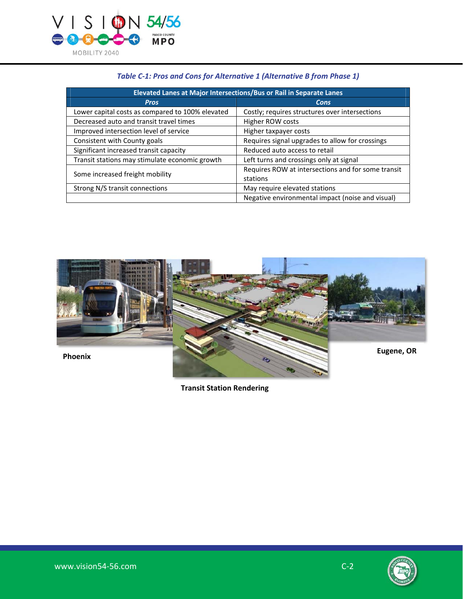

| Elevated Lanes at Major Intersections/Bus or Rail in Separate Lanes |                                                    |
|---------------------------------------------------------------------|----------------------------------------------------|
| <b>Pros</b>                                                         | Cons                                               |
| Lower capital costs as compared to 100% elevated                    | Costly; requires structures over intersections     |
| Decreased auto and transit travel times                             | Higher ROW costs                                   |
| Improved intersection level of service                              | Higher taxpayer costs                              |
| Consistent with County goals                                        | Requires signal upgrades to allow for crossings    |
| Significant increased transit capacity                              | Reduced auto access to retail                      |
| Transit stations may stimulate economic growth                      | Left turns and crossings only at signal            |
| Some increased freight mobility                                     | Requires ROW at intersections and for some transit |
|                                                                     | stations                                           |
| Strong N/S transit connections                                      | May require elevated stations                      |
|                                                                     | Negative environmental impact (noise and visual)   |

# *Table C-1: Pros and Cons for Alternative 1 (Alternative B from Phase 1)*



**Transit Station Rendering** 

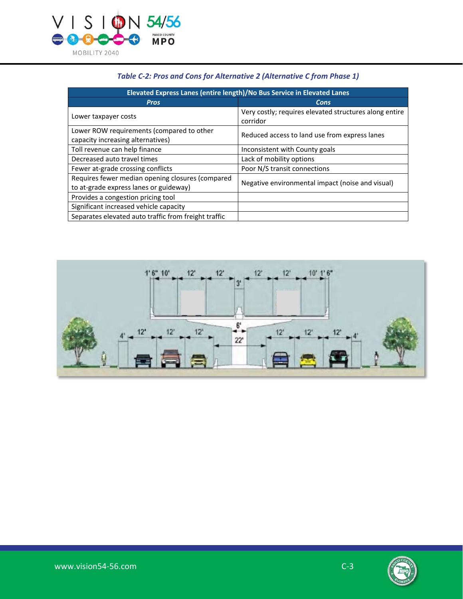

| Elevated Express Lanes (entire length)/No Bus Service in Elevated Lanes                    |                                                                    |
|--------------------------------------------------------------------------------------------|--------------------------------------------------------------------|
| <b>Pros</b>                                                                                | Cons                                                               |
| Lower taxpayer costs                                                                       | Very costly; requires elevated structures along entire<br>corridor |
| Lower ROW requirements (compared to other<br>capacity increasing alternatives)             | Reduced access to land use from express lanes                      |
| Toll revenue can help finance                                                              | Inconsistent with County goals                                     |
| Decreased auto travel times                                                                | Lack of mobility options                                           |
| Fewer at-grade crossing conflicts                                                          | Poor N/S transit connections                                       |
| Requires fewer median opening closures (compared<br>to at-grade express lanes or guideway) | Negative environmental impact (noise and visual)                   |
| Provides a congestion pricing tool                                                         |                                                                    |
| Significant increased vehicle capacity                                                     |                                                                    |
| Separates elevated auto traffic from freight traffic                                       |                                                                    |

# *Table C-2: Pros and Cons for Alternative 2 (Alternative C from Phase 1)*



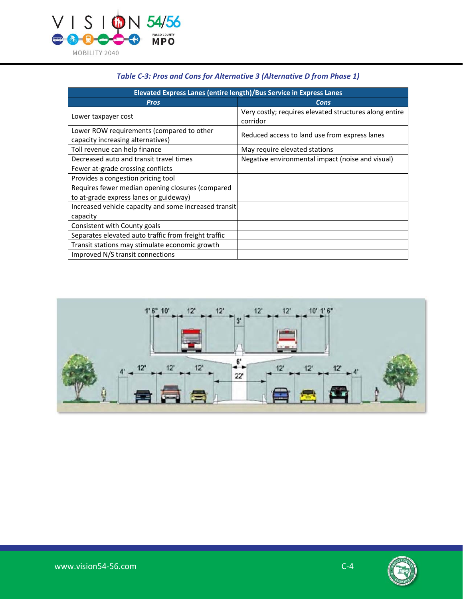

| Elevated Express Lanes (entire length)/Bus Service in Express Lanes                        |                                                                    |
|--------------------------------------------------------------------------------------------|--------------------------------------------------------------------|
| <b>Pros</b>                                                                                | Cons                                                               |
| Lower taxpayer cost                                                                        | Very costly; requires elevated structures along entire<br>corridor |
| Lower ROW requirements (compared to other<br>capacity increasing alternatives)             | Reduced access to land use from express lanes                      |
| Toll revenue can help finance                                                              | May require elevated stations                                      |
| Decreased auto and transit travel times                                                    | Negative environmental impact (noise and visual)                   |
| Fewer at-grade crossing conflicts                                                          |                                                                    |
| Provides a congestion pricing tool                                                         |                                                                    |
| Requires fewer median opening closures (compared<br>to at-grade express lanes or guideway) |                                                                    |
| Increased vehicle capacity and some increased transit<br>capacity                          |                                                                    |
| Consistent with County goals                                                               |                                                                    |
| Separates elevated auto traffic from freight traffic                                       |                                                                    |
| Transit stations may stimulate economic growth                                             |                                                                    |
| Improved N/S transit connections                                                           |                                                                    |

# *Table C-3: Pros and Cons for Alternative 3 (Alternative D from Phase 1)*



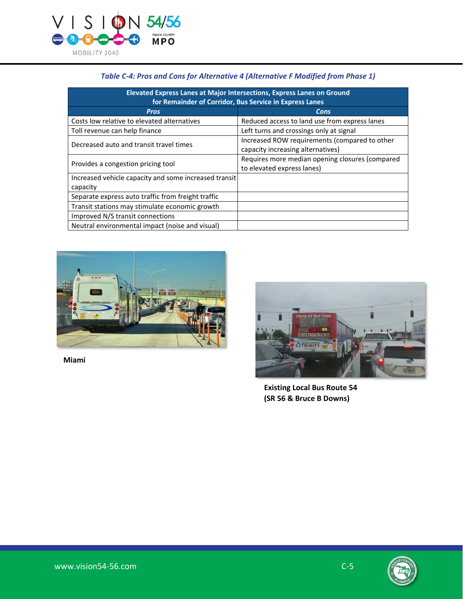

| Elevated Express Lanes at Major Intersections, Express Lanes on Ground<br>for Remainder of Corridor, Bus Service in Express Lanes |                                                                                    |
|-----------------------------------------------------------------------------------------------------------------------------------|------------------------------------------------------------------------------------|
| <b>Pros</b>                                                                                                                       | Cons                                                                               |
| Costs low relative to elevated alternatives                                                                                       | Reduced access to land use from express lanes                                      |
| Toll revenue can help finance                                                                                                     | Left turns and crossings only at signal                                            |
| Decreased auto and transit travel times                                                                                           | Increased ROW requirements (compared to other<br>capacity increasing alternatives) |
| Provides a congestion pricing tool                                                                                                | Requires more median opening closures (compared<br>to elevated express lanes)      |
| Increased vehicle capacity and some increased transit                                                                             |                                                                                    |
| capacity                                                                                                                          |                                                                                    |
| Separate express auto traffic from freight traffic                                                                                |                                                                                    |
| Transit stations may stimulate economic growth                                                                                    |                                                                                    |
| Improved N/S transit connections                                                                                                  |                                                                                    |
| Neutral environmental impact (noise and visual)                                                                                   |                                                                                    |

#### *Table C-4: Pros and Cons for Alternative 4 (Alternative F Modified from Phase 1)*



**Miami** 



**Existing Local Bus Route 54 (SR 56 & Bruce B Downs)** 

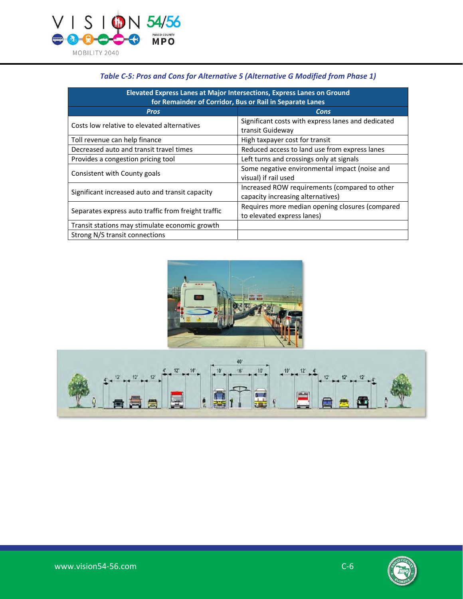

| Elevated Express Lanes at Major Intersections, Express Lanes on Ground |                                                                                    |
|------------------------------------------------------------------------|------------------------------------------------------------------------------------|
| for Remainder of Corridor, Bus or Rail in Separate Lanes               |                                                                                    |
| <b>Pros</b>                                                            | Cons                                                                               |
| Costs low relative to elevated alternatives                            | Significant costs with express lanes and dedicated<br>transit Guideway             |
| Toll revenue can help finance                                          | High taxpayer cost for transit                                                     |
| Decreased auto and transit travel times                                | Reduced access to land use from express lanes                                      |
| Provides a congestion pricing tool                                     | Left turns and crossings only at signals                                           |
| Consistent with County goals                                           | Some negative environmental impact (noise and<br>visual) if rail used              |
| Significant increased auto and transit capacity                        | Increased ROW requirements (compared to other<br>capacity increasing alternatives) |
| Separates express auto traffic from freight traffic                    | Requires more median opening closures (compared<br>to elevated express lanes)      |
| Transit stations may stimulate economic growth                         |                                                                                    |
| Strong N/S transit connections                                         |                                                                                    |

#### *Table C-5: Pros and Cons for Alternative 5 (Alternative G Modified from Phase 1)*





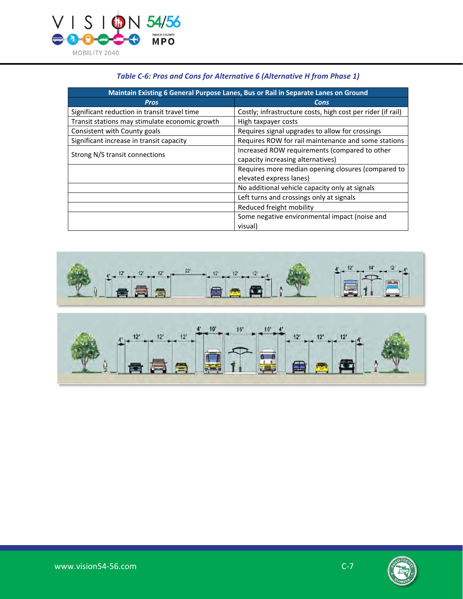

| Maintain Existing 6 General Purpose Lanes, Bus or Rail in Separate Lanes on Ground |                                                                                    |
|------------------------------------------------------------------------------------|------------------------------------------------------------------------------------|
| <b>Pros</b>                                                                        | Cons                                                                               |
| Significant reduction in transit travel time                                       | Costly; infrastructure costs, high cost per rider (if rail)                        |
| Transit stations may stimulate economic growth                                     | High taxpayer costs                                                                |
| Consistent with County goals                                                       | Requires signal upgrades to allow for crossings                                    |
| Significant increase in transit capacity                                           | Requires ROW for rail maintenance and some stations                                |
| Strong N/S transit connections                                                     | Increased ROW requirements (compared to other<br>capacity increasing alternatives) |
|                                                                                    | Requires more median opening closures (compared to<br>elevated express lanes)      |
|                                                                                    | No additional vehicle capacity only at signals                                     |
|                                                                                    | Left turns and crossings only at signals                                           |
|                                                                                    | Reduced freight mobility                                                           |
|                                                                                    | Some negative environmental impact (noise and<br>visual)                           |

### *Table C-6: Pros and Cons for Alternative 6 (Alternative H from Phase 1)*



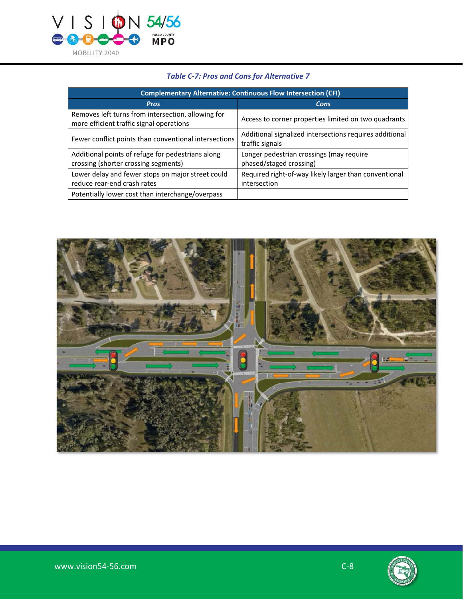

| <b>Complementary Alternative: Continuous Flow Intersection (CFI)</b>                           |                                                                            |
|------------------------------------------------------------------------------------------------|----------------------------------------------------------------------------|
| <b>Pros</b>                                                                                    | <b>Cons</b>                                                                |
| Removes left turns from intersection, allowing for<br>more efficient traffic signal operations | Access to corner properties limited on two quadrants                       |
| Fewer conflict points than conventional intersections                                          | Additional signalized intersections requires additional<br>traffic signals |
| Additional points of refuge for pedestrians along<br>crossing (shorter crossing segments)      | Longer pedestrian crossings (may require<br>phased/staged crossing)        |
| Lower delay and fewer stops on major street could<br>reduce rear-end crash rates               | Required right-of-way likely larger than conventional<br>intersection      |
| Potentially lower cost than interchange/overpass                                               |                                                                            |

# *Table C-7: Pros and Cons for Alternative 7*



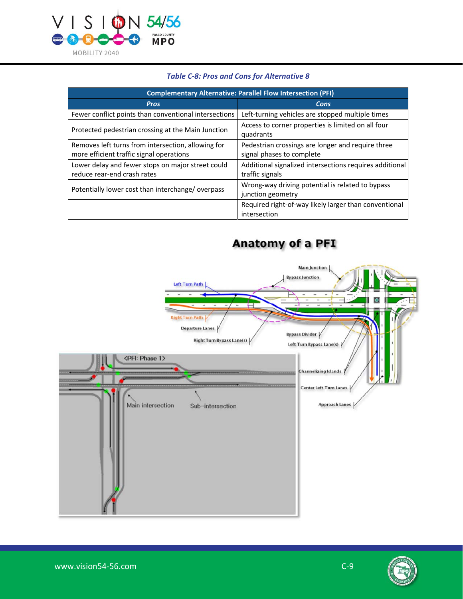

| <b>Complementary Alternative: Parallel Flow Intersection (PFI)</b>                             |                                                                                |
|------------------------------------------------------------------------------------------------|--------------------------------------------------------------------------------|
| <b>Pros</b>                                                                                    | Cons                                                                           |
| Fewer conflict points than conventional intersections                                          | Left-turning vehicles are stopped multiple times                               |
| Protected pedestrian crossing at the Main Junction                                             | Access to corner properties is limited on all four<br>quadrants                |
| Removes left turns from intersection, allowing for<br>more efficient traffic signal operations | Pedestrian crossings are longer and require three<br>signal phases to complete |
| Lower delay and fewer stops on major street could<br>reduce rear-end crash rates               | Additional signalized intersections requires additional<br>traffic signals     |
| Potentially lower cost than interchange/overpass                                               | Wrong-way driving potential is related to bypass<br>junction geometry          |
|                                                                                                | Required right-of-way likely larger than conventional<br>intersection          |

Anatomy of a PFI

#### *Table C-8: Pros and Cons for Alternative 8*

# **Main Junction Bypass Junction** Left Turn Path τ  $\bullet$ ⊏ **Right Turn Path** Departure Lanes **Bypass Divider V** Right Turn Bypass Lane(s) | Left Turn Bypass Lane(s) <PFI: Phase 1> Channelizing Islands / Center Left Turn Lanes Approach Lanes Main intersection Sub-intersection

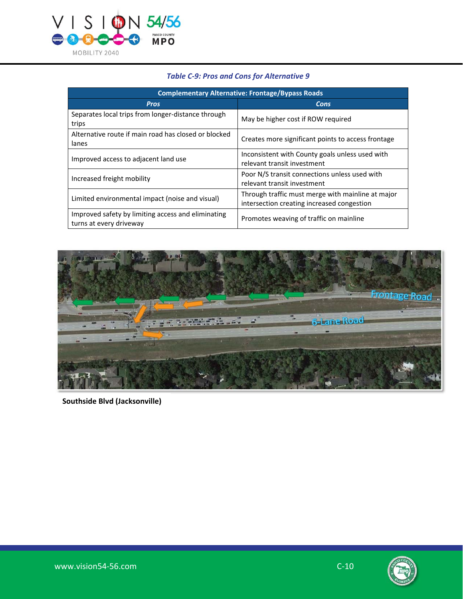

| <b>Complementary Alternative: Frontage/Bypass Roads</b>                       |                                                                                                 |
|-------------------------------------------------------------------------------|-------------------------------------------------------------------------------------------------|
| <b>Pros</b>                                                                   | Cons                                                                                            |
| Separates local trips from longer-distance through<br>trips                   | May be higher cost if ROW required                                                              |
| Alternative route if main road has closed or blocked<br>lanes                 | Creates more significant points to access frontage                                              |
| Improved access to adjacent land use                                          | Inconsistent with County goals unless used with<br>relevant transit investment                  |
| Increased freight mobility                                                    | Poor N/S transit connections unless used with<br>relevant transit investment                    |
| Limited environmental impact (noise and visual)                               | Through traffic must merge with mainline at major<br>intersection creating increased congestion |
| Improved safety by limiting access and eliminating<br>turns at every driveway | Promotes weaving of traffic on mainline                                                         |

### *Table C-9: Pros and Cons for Alternative 9*



**Southside Blvd (Jacksonville)** 

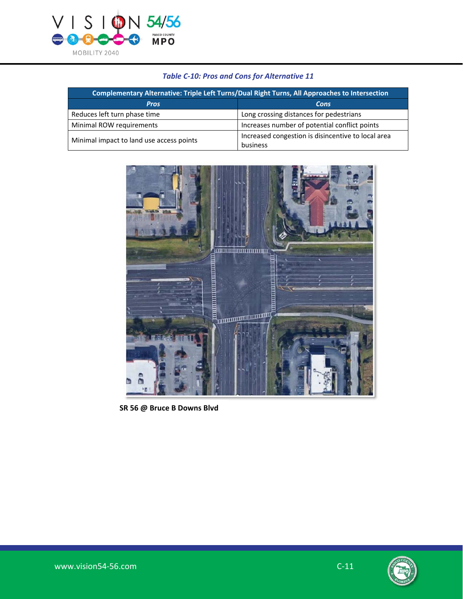

# *Table C-10: Pros and Cons for Alternative 11*

| Complementary Alternative: Triple Left Turns/Dual Right Turns, All Approaches to Intersection |                                                                |
|-----------------------------------------------------------------------------------------------|----------------------------------------------------------------|
| <b>Pros</b>                                                                                   | Cons                                                           |
| Reduces left turn phase time                                                                  | Long crossing distances for pedestrians                        |
| Minimal ROW requirements                                                                      | Increases number of potential conflict points                  |
| Minimal impact to land use access points                                                      | Increased congestion is disincentive to local area<br>business |



 **SR 56 @ Bruce B Downs Blvd**